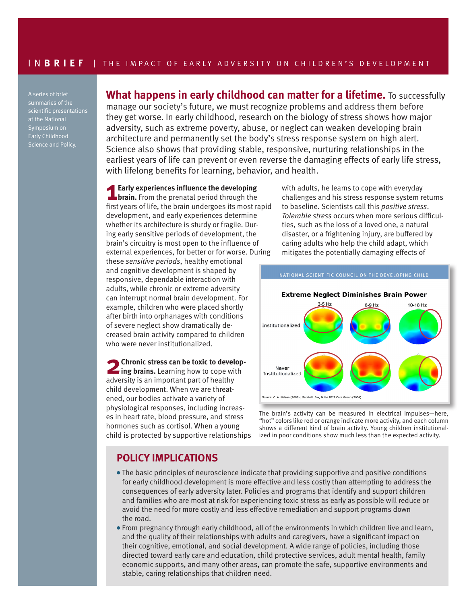A series of brief summaries of the scientific presentations at the National Symposium on Early Childhood Science and Policy.

**What happens in early childhood can matter for a lifetime.** To successfully manage our society's future, we must recognize problems and address them before they get worse. In early childhood, research on the biology of stress shows how major adversity, such as extreme poverty, abuse, or neglect can weaken developing brain architecture and permanently set the body's stress response system on high alert. Science also shows that providing stable, responsive, nurturing relationships in the earliest years of life can prevent or even reverse the damaging effects of early life stress, with lifelong benefits for learning, behavior, and health.

**1Early experiences influence the developing brain.** From the prenatal period through the first years of life, the brain undergoes its most rapid development, and early experiences determine whether its architecture is sturdy or fragile. During early sensitive periods of development, the brain's circuitry is most open to the influence of external experiences, for better or for worse. During

these *sensitive periods*, healthy emotional and cognitive development is shaped by responsive, dependable interaction with adults, while chronic or extreme adversity can interrupt normal brain development. For example, children who were placed shortly after birth into orphanages with conditions of severe neglect show dramatically decreased brain activity compared to children who were never institutionalized.

**2Chronic stress can be toxic to develop-ing brains.** Learning how to cope with adversity is an important part of healthy child development. When we are threatened, our bodies activate a variety of physiological responses, including increases in heart rate, blood pressure, and stress hormones such as cortisol. When a young child is protected by supportive relationships with adults, he learns to cope with everyday challenges and his stress response system returns to baseline. Scientists call this *positive stress*. *Tolerable stress* occurs when more serious difficulties, such as the loss of a loved one, a natural disaster, or a frightening injury, are buffered by caring adults who help the child adapt, which mitigates the potentially damaging effects of



The brain's activity can be measured in electrical impulses—here, "hot" colors like red or orange indicate more activity, and each column shows a different kind of brain activity. Young children institutionalized in poor conditions show much less than the expected activity.

## **POLICY IMPLICATIONS**

- The basic principles of neuroscience indicate that providing supportive and positive conditions for early childhood development is more effective and less costly than attempting to address the consequences of early adversity later. Policies and programs that identify and support children and families who are most at risk for experiencing toxic stress as early as possible will reduce or avoid the need for more costly and less effective remediation and support programs down the road.
- <sup>l</sup> From pregnancy through early childhood, all of the environments in which children live and learn, and the quality of their relationships with adults and caregivers, have a significant impact on their cognitive, emotional, and social development. A wide range of policies, including those directed toward early care and education, child protective services, adult mental health, family economic supports, and many other areas, can promote the safe, supportive environments and stable, caring relationships that children need.